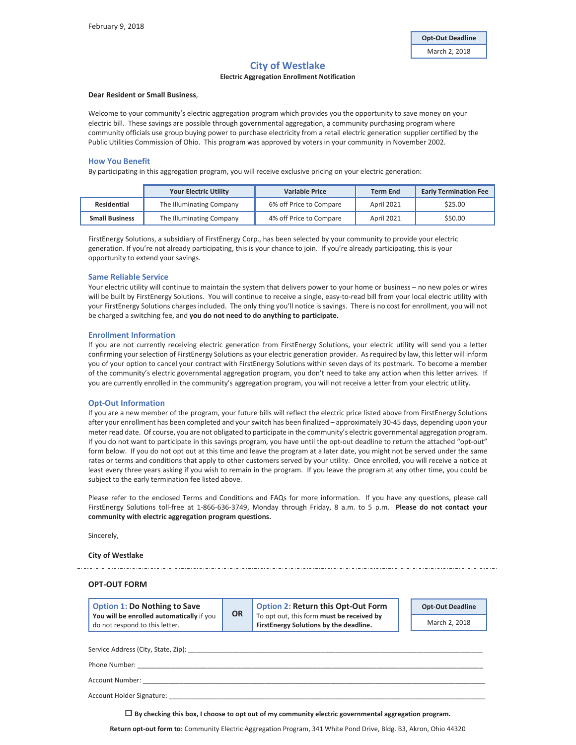# **City of Westlake**

# **Electric Aggregation Enrollment Notification**

### **Dear Resident or Small Business**,

Welcome to your community's electric aggregation program which provides you the opportunity to save money on your electric bill. These savings are possible through governmental aggregation, a community purchasing program where community officials use group buying power to purchase electricity from a retail electric generation supplier certified by the Public Utilities Commission of Ohio. This program was approved by voters in your community in November 2002.

#### **How You Benefit**

By participating in this aggregation program, you will receive exclusive pricing on your electric generation:

|                       | <b>Your Electric Utility</b> | <b>Variable Price</b>   | <b>Term End</b>   | <b>Early Termination Fee</b> |
|-----------------------|------------------------------|-------------------------|-------------------|------------------------------|
| Residential           | The Illuminating Company     | 6% off Price to Compare | <b>April 2021</b> | \$25.00                      |
| <b>Small Business</b> | The Illuminating Company     | 4% off Price to Compare | <b>April 2021</b> | \$50.00                      |

FirstEnergy Solutions, a subsidiary of FirstEnergy Corp., has been selected by your community to provide your electric generation. If you're not already participating, this is your chance to join. If you're already participating, this is your opportunity to extend your savings.

#### **Same Reliable Service**

Your electric utility will continue to maintain the system that delivers power to your home or business – no new poles or wires will be built by FirstEnergy Solutions. You will continue to receive a single, easy-to-read bill from your local electric utility with your FirstEnergy Solutions charges included. The only thing you'll notice is savings. There is no cost for enrollment, you will not be charged a switching fee, and **you do not need to do anything to participate.** 

#### **Enrollment Information**

If you are not currently receiving electric generation from FirstEnergy Solutions, your electric utility will send you a letter confirming your selection of FirstEnergy Solutions as your electric generation provider. As required by law, this letter will inform you of your option to cancel your contract with FirstEnergy Solutions within seven days of its postmark. To become a member of the community's electric governmental aggregation program, you don't need to take any action when this letter arrives. If you are currently enrolled in the community's aggregation program, you will not receive a letter from your electric utility.

#### **Opt-Out Information**

If you are a new member of the program, your future bills will reflect the electric price listed above from FirstEnergy Solutions after your enrollment has been completed and your switch has been finalized – approximately 30-45 days, depending upon your meter read date. Of course, you are not obligated to participate in the community's electric governmental aggregation program. If you do not want to participate in this savings program, you have until the opt-out deadline to return the attached "opt-out" form below. If you do not opt out at this time and leave the program at a later date, you might not be served under the same rates or terms and conditions that apply to other customers served by your utility. Once enrolled, you will receive a notice at least every three years asking if you wish to remain in the program. If you leave the program at any other time, you could be subject to the early termination fee listed above.

Please refer to the enclosed Terms and Conditions and FAQs for more information.If you have any questions, please call FirstEnergy Solutions toll-free at 1-866-636-3749, Monday through Friday, 8 a.m. to 5 p.m. **Please do not contact your community with electric aggregation program questions.**

Sincerely,

#### **City of Westlake**

## **OPT-OUT FORM**

| Option 1: Do Nothing to Save                                                | OR | Option 2: Return this Opt-Out Form                                                   | <b>Opt-Out Deadline</b> |
|-----------------------------------------------------------------------------|----|--------------------------------------------------------------------------------------|-------------------------|
| You will be enrolled automatically if you<br>do not respond to this letter. |    | To opt out, this form must be received by<br>First Energy Solutions by the deadline. | March 2, 2018           |

Service Address (City, State, Zip): \_\_\_\_

Phone Number: \_\_\_\_\_\_\_\_\_\_\_\_\_\_\_\_\_\_\_\_\_\_\_\_\_\_\_\_\_\_\_\_\_\_\_\_\_\_\_\_\_\_\_\_\_\_\_\_\_\_\_\_\_\_\_\_\_\_\_\_\_\_\_\_\_\_\_\_\_\_\_\_\_\_\_\_\_\_\_\_\_\_\_\_\_\_\_\_\_\_\_\_\_\_

Account Number:

Account Holder Signature:

**By checking this box, I choose to opt out of my community electric governmental aggregation program.**

**Return opt-out form to:** Community Electric Aggregation Program, 341 White Pond Drive, Bldg. B3, Akron, Ohio 44320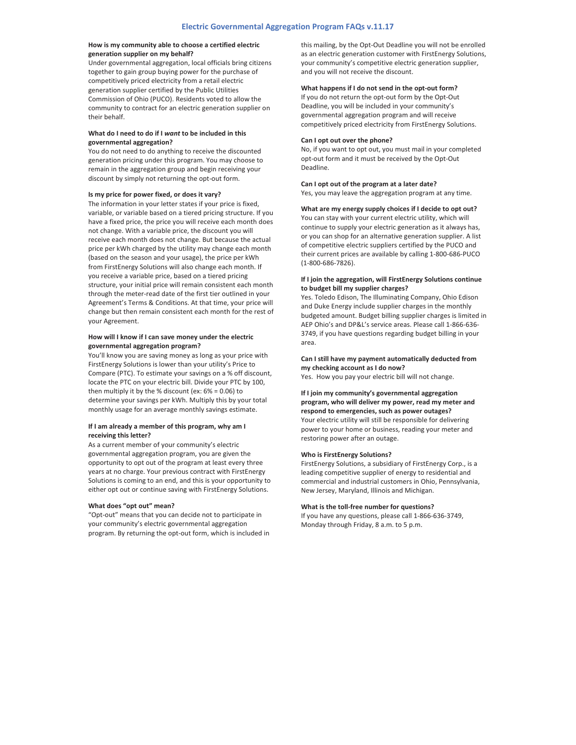## **How is my community able to choose a certified electric generation supplier on my behalf?**

Under governmental aggregation, local officials bring citizens together to gain group buying power for the purchase of competitively priced electricity from a retail electric generation supplier certified by the Public Utilities Commission of Ohio (PUCO). Residents voted to allow the community to contract for an electric generation supplier on their behalf.

# **What do I need to do if I** *want* **to be included in this governmental aggregation?**

You do not need to do anything to receive the discounted generation pricing under this program. You may choose to remain in the aggregation group and begin receiving your discount by simply not returning the opt-out form.

#### **Is my price for power fixed, or does it vary?**

The information in your letter states if your price is fixed, variable, or variable based on a tiered pricing structure. If you have a fixed price, the price you will receive each month does not change. With a variable price, the discount you will receive each month does not change. But because the actual price per kWh charged by the utility may change each month (based on the season and your usage), the price per kWh from FirstEnergy Solutions will also change each month. If you receive a variable price, based on a tiered pricing structure, your initial price will remain consistent each month through the meter-read date of the first tier outlined in your Agreement's Terms & Conditions. At that time, your price will change but then remain consistent each month for the rest of your Agreement.

## **How will I know if I can save money under the electric governmental aggregation program?**

You'll know you are saving money as long as your price with FirstEnergy Solutions is lower than your utility's Price to Compare (PTC). To estimate your savings on a % off discount, locate the PTC on your electric bill. Divide your PTC by 100, then multiply it by the % discount (ex: 6% = 0.06) to determine your savings per kWh. Multiply this by your total monthly usage for an average monthly savings estimate.

### **If I am already a member of this program, why am I receiving this letter?**

As a current member of your community's electric governmental aggregation program, you are given the opportunity to opt out of the program at least every three years at no charge. Your previous contract with FirstEnergy Solutions is coming to an end, and this is your opportunity to either opt out or continue saving with FirstEnergy Solutions.

#### **What does "opt out" mean?**

"Opt-out" means that you can decide not to participate in your community's electric governmental aggregation program. By returning the opt-out form, which is included in this mailing, by the Opt-Out Deadline you will not be enrolled as an electric generation customer with FirstEnergy Solutions, your community's competitive electric generation supplier, and you will not receive the discount.

## **What happens if I do not send in the opt-out form?**

If you do not return the opt-out form by the Opt-Out Deadline, you will be included in your community's governmental aggregation program and will receive competitively priced electricity from FirstEnergy Solutions.

#### **Can I opt out over the phone?**

No, if you want to opt out, you must mail in your completed opt-out form and it must be received by the Opt-Out Deadline.

#### **Can I opt out of the program at a later date?**

Yes, you may leave the aggregation program at any time.

# **What are my energy supply choices if I decide to opt out?**

You can stay with your current electric utility, which will continue to supply your electric generation as it always has, or you can shop for an alternative generation supplier. A list of competitive electric suppliers certified by the PUCO and their current prices are available by calling 1-800-686-PUCO (1-800-686-7826).

### **If I join the aggregation, will FirstEnergy Solutions continue to budget bill my supplier charges?**

Yes. Toledo Edison, The Illuminating Company, Ohio Edison and Duke Energy include supplier charges in the monthly budgeted amount. Budget billing supplier charges is limited in AEP Ohio's and DP&L's service areas. Please call 1-866-636- 3749, if you have questions regarding budget billing in your area.

# **Can I still have my payment automatically deducted from my checking account as I do now?**

Yes. How you pay your electric bill will not change.

# **If I join my community's governmental aggregation program, who will deliver my power, read my meter and respond to emergencies, such as power outages?**  Your electric utility will still be responsible for delivering power to your home or business, reading your meter and restoring power after an outage.

#### **Who is FirstEnergy Solutions?**

FirstEnergy Solutions, a subsidiary of FirstEnergy Corp., is a leading competitive supplier of energy to residential and commercial and industrial customers in Ohio, Pennsylvania, New Jersey, Maryland, Illinois and Michigan.

#### **What is the toll-free number for questions?**

If you have any questions, please call 1-866-636-3749, Monday through Friday, 8 a.m. to 5 p.m.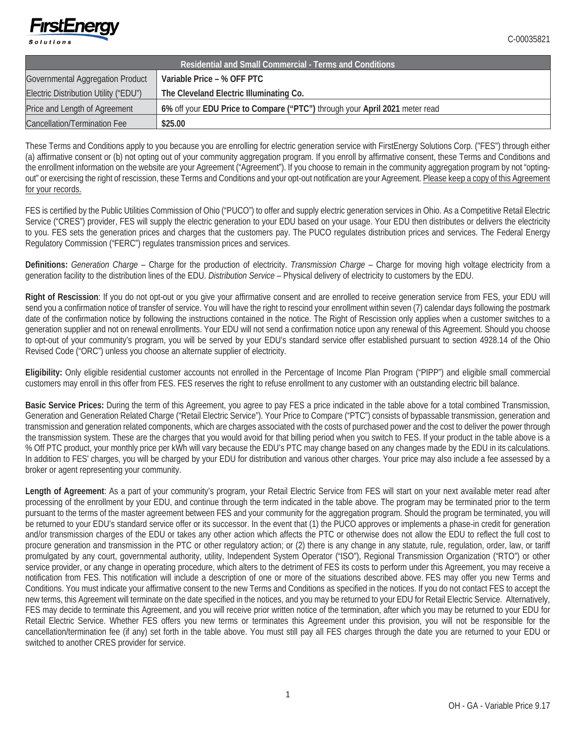

| Residential and Small Commercial - Terms and Conditions |                                                                             |  |  |  |
|---------------------------------------------------------|-----------------------------------------------------------------------------|--|--|--|
| Governmental Aggregation Product                        | Variable Price – % OFF PTC                                                  |  |  |  |
| Electric Distribution Utility ("EDU")                   | The Cleveland Electric Illuminating Co.                                     |  |  |  |
| Price and Length of Agreement                           | 6% off your EDU Price to Compare ("PTC") through your April 2021 meter read |  |  |  |
| <b>Cancellation/Termination Fee</b>                     | \$25.00                                                                     |  |  |  |

These Terms and Conditions apply to you because you are enrolling for electric generation service with FirstEnergy Solutions Corp. ("FES") through either (a) affirmative consent or (b) not opting out of your community aggregation program. If you enroll by affirmative consent, these Terms and Conditions and the enrollment information on the website are your Agreement ("Agreement"). If you choose to remain in the community aggregation program by not "optingout" or exercising the right of rescission, these Terms and Conditions and your opt-out notification are your Agreement. Please keep a copy of this Agreement for your records.

FES is certified by the Public Utilities Commission of Ohio ("PUCO") to offer and supply electric generation services in Ohio. As a Competitive Retail Electric Service ("CRES") provider, FES will supply the electric generation to your EDU based on your usage. Your EDU then distributes or delivers the electricity to you. FES sets the generation prices and charges that the customers pay. The PUCO regulates distribution prices and services. The Federal Energy Regulatory Commission ("FERC") regulates transmission prices and services.

**Definitions:** *Generation Charge* – Charge for the production of electricity. *Transmission Charge* – Charge for moving high voltage electricity from a generation facility to the distribution lines of the EDU. *Distribution Service* – Physical delivery of electricity to customers by the EDU.

**Right of Rescission**: If you do not opt-out or you give your affirmative consent and are enrolled to receive generation service from FES, your EDU will send you a confirmation notice of transfer of service. You will have the right to rescind your enrollment within seven (7) calendar days following the postmark date of the confirmation notice by following the instructions contained in the notice. The Right of Rescission only applies when a customer switches to a generation supplier and not on renewal enrollments. Your EDU will not send a confirmation notice upon any renewal of this Agreement. Should you choose to opt-out of your community's program, you will be served by your EDU's standard service offer established pursuant to section 4928.14 of the Ohio Revised Code ("ORC") unless you choose an alternate supplier of electricity.

**Eligibility:** Only eligible residential customer accounts not enrolled in the Percentage of Income Plan Program ("PIPP") and eligible small commercial customers may enroll in this offer from FES. FES reserves the right to refuse enrollment to any customer with an outstanding electric bill balance.

**Basic Service Prices:** During the term of this Agreement, you agree to pay FES a price indicated in the table above for a total combined Transmission, Generation and Generation Related Charge ("Retail Electric Service"). Your Price to Compare ("PTC") consists of bypassable transmission, generation and transmission and generation related components, which are charges associated with the costs of purchased power and the cost to deliver the power through the transmission system. These are the charges that you would avoid for that billing period when you switch to FES. If your product in the table above is a % Off PTC product, your monthly price per kWh will vary because the EDU's PTC may change based on any changes made by the EDU in its calculations. In addition to FES' charges, you will be charged by your EDU for distribution and various other charges. Your price may also include a fee assessed by a broker or agent representing your community.

Length of Agreement: As a part of your community's program, your Retail Electric Service from FES will start on your next available meter read after processing of the enrollment by your EDU, and continue through the term indicated in the table above. The program may be terminated prior to the term pursuant to the terms of the master agreement between FES and your community for the aggregation program. Should the program be terminated, you will be returned to your EDU's standard service offer or its successor. In the event that (1) the PUCO approves or implements a phase-in credit for generation and/or transmission charges of the EDU or takes any other action which affects the PTC or otherwise does not allow the EDU to reflect the full cost to procure generation and transmission in the PTC or other regulatory action; or (2) there is any change in any statute, rule, regulation, order, law, or tariff promulgated by any court, governmental authority, utility, Independent System Operator ("ISO"), Regional Transmission Organization ("RTO") or other service provider, or any change in operating procedure, which alters to the detriment of FES its costs to perform under this Agreement, you may receive a notification from FES. This notification will include a description of one or more of the situations described above. FES may offer you new Terms and Conditions. You must indicate your affirmative consent to the new Terms and Conditions as specified in the notices. If you do not contact FES to accept the new terms, this Agreement will terminate on the date specified in the notices, and you may be returned to your EDU for Retail Electric Service. Alternatively, FES may decide to terminate this Agreement, and you will receive prior written notice of the termination, after which you may be returned to your EDU for Retail Electric Service. Whether FES offers you new terms or terminates this Agreement under this provision, you will not be responsible for the cancellation/termination fee (if any) set forth in the table above. You must still pay all FES charges through the date you are returned to your EDU or switched to another CRES provider for service.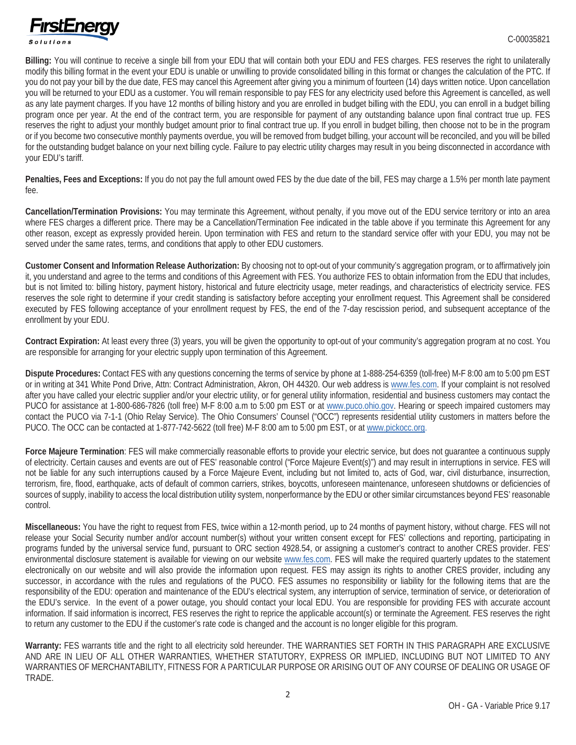

**Billing:** You will continue to receive a single bill from your EDU that will contain both your EDU and FES charges. FES reserves the right to unilaterally modify this billing format in the event your EDU is unable or unwilling to provide consolidated billing in this format or changes the calculation of the PTC. If you do not pay your bill by the due date, FES may cancel this Agreement after giving you a minimum of fourteen (14) days written notice. Upon cancellation you will be returned to your EDU as a customer. You will remain responsible to pay FES for any electricity used before this Agreement is cancelled, as well as any late payment charges. If you have 12 months of billing history and you are enrolled in budget billing with the EDU, you can enroll in a budget billing program once per year. At the end of the contract term, you are responsible for payment of any outstanding balance upon final contract true up. FES reserves the right to adjust your monthly budget amount prior to final contract true up. If you enroll in budget billing, then choose not to be in the program or if you become two consecutive monthly payments overdue, you will be removed from budget billing, your account will be reconciled, and you will be billed for the outstanding budget balance on your next billing cycle. Failure to pay electric utility charges may result in you being disconnected in accordance with your EDU's tariff.

**Penalties, Fees and Exceptions:** If you do not pay the full amount owed FES by the due date of the bill, FES may charge a 1.5% per month late payment fee.

**Cancellation/Termination Provisions:** You may terminate this Agreement, without penalty, if you move out of the EDU service territory or into an area where FES charges a different price. There may be a Cancellation/Termination Fee indicated in the table above if you terminate this Agreement for any other reason, except as expressly provided herein. Upon termination with FES and return to the standard service offer with your EDU, you may not be served under the same rates, terms, and conditions that apply to other EDU customers.

**Customer Consent and Information Release Authorization:** By choosing not to opt-out of your community's aggregation program, or to affirmatively join it, you understand and agree to the terms and conditions of this Agreement with FES. You authorize FES to obtain information from the EDU that includes, but is not limited to: billing history, payment history, historical and future electricity usage, meter readings, and characteristics of electricity service. FES reserves the sole right to determine if your credit standing is satisfactory before accepting your enrollment request. This Agreement shall be considered executed by FES following acceptance of your enrollment request by FES, the end of the 7-day rescission period, and subsequent acceptance of the enrollment by your EDU.

**Contract Expiration:** At least every three (3) years, you will be given the opportunity to opt-out of your community's aggregation program at no cost. You are responsible for arranging for your electric supply upon termination of this Agreement.

**Dispute Procedures:** Contact FES with any questions concerning the terms of service by phone at 1-888-254-6359 (toll-free) M-F 8:00 am to 5:00 pm EST or in writing at 341 White Pond Drive, Attn: Contract Administration, Akron, OH 44320. Our web address is www.fes.com. If your complaint is not resolved after you have called your electric supplier and/or your electric utility, or for general utility information, residential and business customers may contact the PUCO for assistance at 1-800-686-7826 (toll free) M-F 8:00 a.m to 5:00 pm EST or at www.puco.ohio.gov. Hearing or speech impaired customers may contact the PUCO via 7-1-1 (Ohio Relay Service). The Ohio Consumers' Counsel ("OCC") represents residential utility customers in matters before the PUCO. The OCC can be contacted at 1-877-742-5622 (toll free) M-F 8:00 am to 5:00 pm EST, or at www.pickocc.org.

**Force Majeure Termination**: FES will make commercially reasonable efforts to provide your electric service, but does not guarantee a continuous supply of electricity. Certain causes and events are out of FES' reasonable control ("Force Majeure Event(s)") and may result in interruptions in service. FES will not be liable for any such interruptions caused by a Force Majeure Event, including but not limited to, acts of God, war, civil disturbance, insurrection, terrorism, fire, flood, earthquake, acts of default of common carriers, strikes, boycotts, unforeseen maintenance, unforeseen shutdowns or deficiencies of sources of supply, inability to access the local distribution utility system, nonperformance by the EDU or other similar circumstances beyond FES' reasonable control.

**Miscellaneous:** You have the right to request from FES, twice within a 12-month period, up to 24 months of payment history, without charge. FES will not release your Social Security number and/or account number(s) without your written consent except for FES' collections and reporting, participating in programs funded by the universal service fund, pursuant to ORC section 4928.54, or assigning a customer's contract to another CRES provider. FES' environmental disclosure statement is available for viewing on our website www.fes.com. FES will make the required quarterly updates to the statement electronically on our website and will also provide the information upon request. FES may assign its rights to another CRES provider, including any successor, in accordance with the rules and regulations of the PUCO. FES assumes no responsibility or liability for the following items that are the responsibility of the EDU: operation and maintenance of the EDU's electrical system, any interruption of service, termination of service, or deterioration of the EDU's service. In the event of a power outage, you should contact your local EDU. You are responsible for providing FES with accurate account information. If said information is incorrect, FES reserves the right to reprice the applicable account(s) or terminate the Agreement. FES reserves the right to return any customer to the EDU if the customer's rate code is changed and the account is no longer eligible for this program.

**Warranty:** FES warrants title and the right to all electricity sold hereunder. THE WARRANTIES SET FORTH IN THIS PARAGRAPH ARE EXCLUSIVE AND ARE IN LIEU OF ALL OTHER WARRANTIES, WHETHER STATUTORY, EXPRESS OR IMPLIED, INCLUDING BUT NOT LIMITED TO ANY WARRANTIES OF MERCHANTABILITY, FITNESS FOR A PARTICULAR PURPOSE OR ARISING OUT OF ANY COURSE OF DEALING OR USAGE OF TRADE.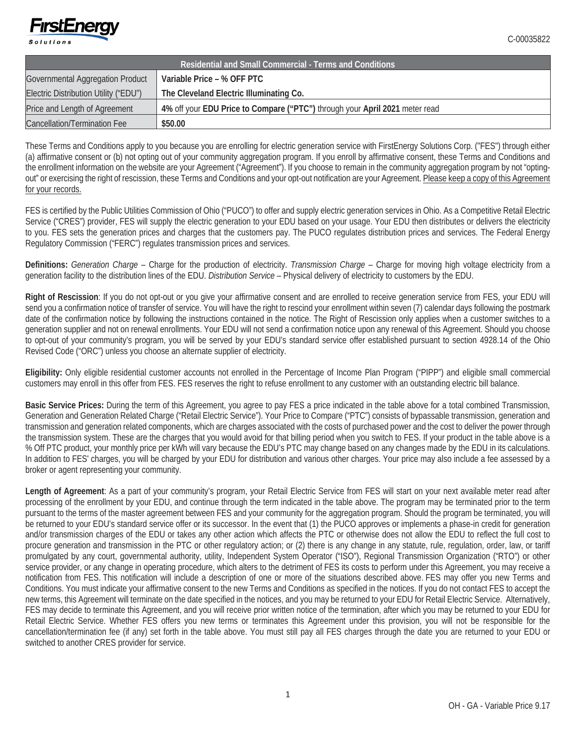

| Residential and Small Commercial - Terms and Conditions |                                                                             |  |  |  |
|---------------------------------------------------------|-----------------------------------------------------------------------------|--|--|--|
| Governmental Aggregation Product                        | Variable Price – % OFF PTC                                                  |  |  |  |
| Electric Distribution Utility ("EDU")                   | The Cleveland Electric Illuminating Co.                                     |  |  |  |
| Price and Length of Agreement                           | 4% off your EDU Price to Compare ("PTC") through your April 2021 meter read |  |  |  |
| <b>Cancellation/Termination Fee</b>                     | \$50.00                                                                     |  |  |  |

These Terms and Conditions apply to you because you are enrolling for electric generation service with FirstEnergy Solutions Corp. ("FES") through either (a) affirmative consent or (b) not opting out of your community aggregation program. If you enroll by affirmative consent, these Terms and Conditions and the enrollment information on the website are your Agreement ("Agreement"). If you choose to remain in the community aggregation program by not "optingout" or exercising the right of rescission, these Terms and Conditions and your opt-out notification are your Agreement. Please keep a copy of this Agreement for your records.

FES is certified by the Public Utilities Commission of Ohio ("PUCO") to offer and supply electric generation services in Ohio. As a Competitive Retail Electric Service ("CRES") provider, FES will supply the electric generation to your EDU based on your usage. Your EDU then distributes or delivers the electricity to you. FES sets the generation prices and charges that the customers pay. The PUCO regulates distribution prices and services. The Federal Energy Regulatory Commission ("FERC") regulates transmission prices and services.

**Definitions:** *Generation Charge* – Charge for the production of electricity. *Transmission Charge* – Charge for moving high voltage electricity from a generation facility to the distribution lines of the EDU. *Distribution Service* – Physical delivery of electricity to customers by the EDU.

**Right of Rescission**: If you do not opt-out or you give your affirmative consent and are enrolled to receive generation service from FES, your EDU will send you a confirmation notice of transfer of service. You will have the right to rescind your enrollment within seven (7) calendar days following the postmark date of the confirmation notice by following the instructions contained in the notice. The Right of Rescission only applies when a customer switches to a generation supplier and not on renewal enrollments. Your EDU will not send a confirmation notice upon any renewal of this Agreement. Should you choose to opt-out of your community's program, you will be served by your EDU's standard service offer established pursuant to section 4928.14 of the Ohio Revised Code ("ORC") unless you choose an alternate supplier of electricity.

**Eligibility:** Only eligible residential customer accounts not enrolled in the Percentage of Income Plan Program ("PIPP") and eligible small commercial customers may enroll in this offer from FES. FES reserves the right to refuse enrollment to any customer with an outstanding electric bill balance.

**Basic Service Prices:** During the term of this Agreement, you agree to pay FES a price indicated in the table above for a total combined Transmission, Generation and Generation Related Charge ("Retail Electric Service"). Your Price to Compare ("PTC") consists of bypassable transmission, generation and transmission and generation related components, which are charges associated with the costs of purchased power and the cost to deliver the power through the transmission system. These are the charges that you would avoid for that billing period when you switch to FES. If your product in the table above is a % Off PTC product, your monthly price per kWh will vary because the EDU's PTC may change based on any changes made by the EDU in its calculations. In addition to FES' charges, you will be charged by your EDU for distribution and various other charges. Your price may also include a fee assessed by a broker or agent representing your community.

Length of Agreement: As a part of your community's program, your Retail Electric Service from FES will start on your next available meter read after processing of the enrollment by your EDU, and continue through the term indicated in the table above. The program may be terminated prior to the term pursuant to the terms of the master agreement between FES and your community for the aggregation program. Should the program be terminated, you will be returned to your EDU's standard service offer or its successor. In the event that (1) the PUCO approves or implements a phase-in credit for generation and/or transmission charges of the EDU or takes any other action which affects the PTC or otherwise does not allow the EDU to reflect the full cost to procure generation and transmission in the PTC or other regulatory action; or (2) there is any change in any statute, rule, regulation, order, law, or tariff promulgated by any court, governmental authority, utility, Independent System Operator ("ISO"), Regional Transmission Organization ("RTO") or other service provider, or any change in operating procedure, which alters to the detriment of FES its costs to perform under this Agreement, you may receive a notification from FES. This notification will include a description of one or more of the situations described above. FES may offer you new Terms and Conditions. You must indicate your affirmative consent to the new Terms and Conditions as specified in the notices. If you do not contact FES to accept the new terms, this Agreement will terminate on the date specified in the notices, and you may be returned to your EDU for Retail Electric Service. Alternatively, FES may decide to terminate this Agreement, and you will receive prior written notice of the termination, after which you may be returned to your EDU for Retail Electric Service. Whether FES offers you new terms or terminates this Agreement under this provision, you will not be responsible for the cancellation/termination fee (if any) set forth in the table above. You must still pay all FES charges through the date you are returned to your EDU or switched to another CRES provider for service.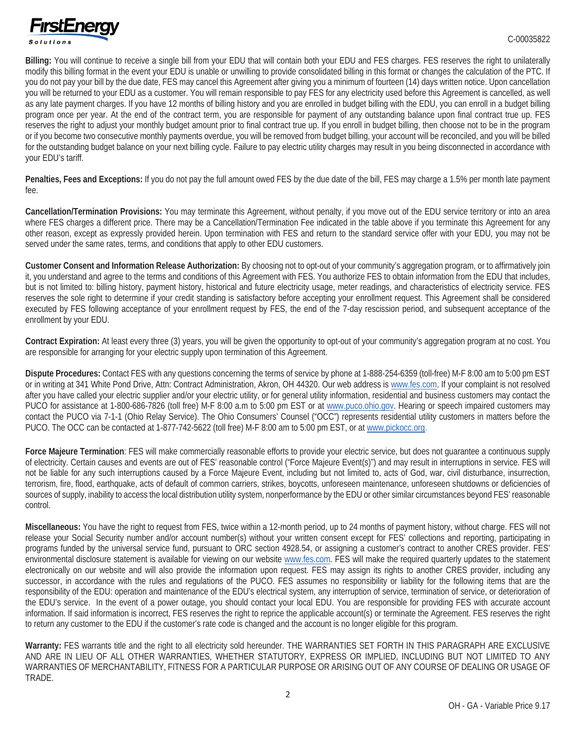

**Billing:** You will continue to receive a single bill from your EDU that will contain both your EDU and FES charges. FES reserves the right to unilaterally modify this billing format in the event your EDU is unable or unwilling to provide consolidated billing in this format or changes the calculation of the PTC. If you do not pay your bill by the due date, FES may cancel this Agreement after giving you a minimum of fourteen (14) days written notice. Upon cancellation you will be returned to your EDU as a customer. You will remain responsible to pay FES for any electricity used before this Agreement is cancelled, as well as any late payment charges. If you have 12 months of billing history and you are enrolled in budget billing with the EDU, you can enroll in a budget billing program once per year. At the end of the contract term, you are responsible for payment of any outstanding balance upon final contract true up. FES reserves the right to adjust your monthly budget amount prior to final contract true up. If you enroll in budget billing, then choose not to be in the program or if you become two consecutive monthly payments overdue, you will be removed from budget billing, your account will be reconciled, and you will be billed for the outstanding budget balance on your next billing cycle. Failure to pay electric utility charges may result in you being disconnected in accordance with your EDU's tariff.

**Penalties, Fees and Exceptions:** If you do not pay the full amount owed FES by the due date of the bill, FES may charge a 1.5% per month late payment fee.

**Cancellation/Termination Provisions:** You may terminate this Agreement, without penalty, if you move out of the EDU service territory or into an area where FES charges a different price. There may be a Cancellation/Termination Fee indicated in the table above if you terminate this Agreement for any other reason, except as expressly provided herein. Upon termination with FES and return to the standard service offer with your EDU, you may not be served under the same rates, terms, and conditions that apply to other EDU customers.

**Customer Consent and Information Release Authorization:** By choosing not to opt-out of your community's aggregation program, or to affirmatively join it, you understand and agree to the terms and conditions of this Agreement with FES. You authorize FES to obtain information from the EDU that includes, but is not limited to: billing history, payment history, historical and future electricity usage, meter readings, and characteristics of electricity service. FES reserves the sole right to determine if your credit standing is satisfactory before accepting your enrollment request. This Agreement shall be considered executed by FES following acceptance of your enrollment request by FES, the end of the 7-day rescission period, and subsequent acceptance of the enrollment by your EDU.

**Contract Expiration:** At least every three (3) years, you will be given the opportunity to opt-out of your community's aggregation program at no cost. You are responsible for arranging for your electric supply upon termination of this Agreement.

**Dispute Procedures:** Contact FES with any questions concerning the terms of service by phone at 1-888-254-6359 (toll-free) M-F 8:00 am to 5:00 pm EST or in writing at 341 White Pond Drive, Attn: Contract Administration, Akron, OH 44320. Our web address is www.fes.com. If your complaint is not resolved after you have called your electric supplier and/or your electric utility, or for general utility information, residential and business customers may contact the PUCO for assistance at 1-800-686-7826 (toll free) M-F 8:00 a.m to 5:00 pm EST or at www.puco.ohio.gov. Hearing or speech impaired customers may contact the PUCO via 7-1-1 (Ohio Relay Service). The Ohio Consumers' Counsel ("OCC") represents residential utility customers in matters before the PUCO. The OCC can be contacted at 1-877-742-5622 (toll free) M-F 8:00 am to 5:00 pm EST, or at www.pickocc.org.

**Force Majeure Termination**: FES will make commercially reasonable efforts to provide your electric service, but does not guarantee a continuous supply of electricity. Certain causes and events are out of FES' reasonable control ("Force Majeure Event(s)") and may result in interruptions in service. FES will not be liable for any such interruptions caused by a Force Majeure Event, including but not limited to, acts of God, war, civil disturbance, insurrection, terrorism, fire, flood, earthquake, acts of default of common carriers, strikes, boycotts, unforeseen maintenance, unforeseen shutdowns or deficiencies of sources of supply, inability to access the local distribution utility system, nonperformance by the EDU or other similar circumstances beyond FES' reasonable control.

**Miscellaneous:** You have the right to request from FES, twice within a 12-month period, up to 24 months of payment history, without charge. FES will not release your Social Security number and/or account number(s) without your written consent except for FES' collections and reporting, participating in programs funded by the universal service fund, pursuant to ORC section 4928.54, or assigning a customer's contract to another CRES provider. FES' environmental disclosure statement is available for viewing on our website www.fes.com. FES will make the required quarterly updates to the statement electronically on our website and will also provide the information upon request. FES may assign its rights to another CRES provider, including any successor, in accordance with the rules and regulations of the PUCO. FES assumes no responsibility or liability for the following items that are the responsibility of the EDU: operation and maintenance of the EDU's electrical system, any interruption of service, termination of service, or deterioration of the EDU's service. In the event of a power outage, you should contact your local EDU. You are responsible for providing FES with accurate account information. If said information is incorrect, FES reserves the right to reprice the applicable account(s) or terminate the Agreement. FES reserves the right to return any customer to the EDU if the customer's rate code is changed and the account is no longer eligible for this program.

**Warranty:** FES warrants title and the right to all electricity sold hereunder. THE WARRANTIES SET FORTH IN THIS PARAGRAPH ARE EXCLUSIVE AND ARE IN LIEU OF ALL OTHER WARRANTIES, WHETHER STATUTORY, EXPRESS OR IMPLIED, INCLUDING BUT NOT LIMITED TO ANY WARRANTIES OF MERCHANTABILITY, FITNESS FOR A PARTICULAR PURPOSE OR ARISING OUT OF ANY COURSE OF DEALING OR USAGE OF TRADE.